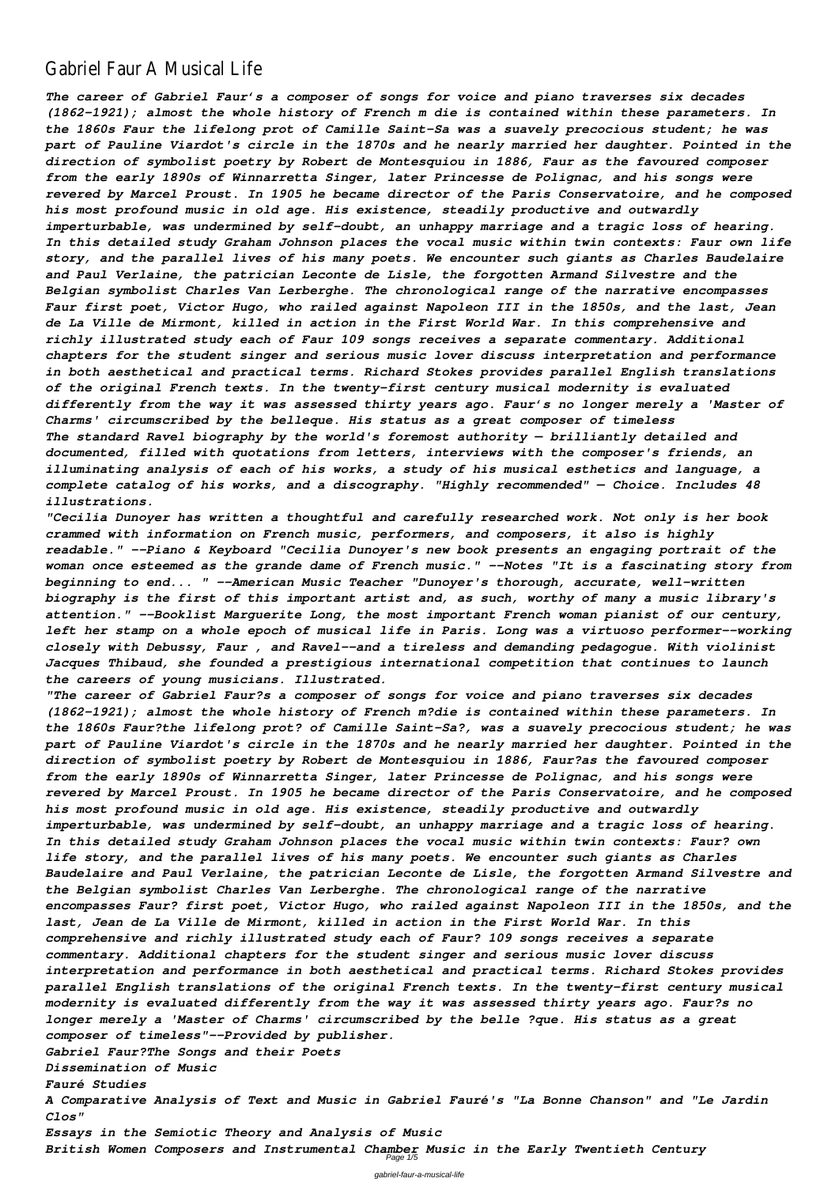## Gabriel Faur A Musical Life

*The career of Gabriel Faur's a composer of songs for voice and piano traverses six decades (1862-1921); almost the whole history of French m die is contained within these parameters. In the 1860s Faur the lifelong prot of Camille Saint-Sa was a suavely precocious student; he was part of Pauline Viardot's circle in the 1870s and he nearly married her daughter. Pointed in the direction of symbolist poetry by Robert de Montesquiou in 1886, Faur as the favoured composer from the early 1890s of Winnarretta Singer, later Princesse de Polignac, and his songs were revered by Marcel Proust. In 1905 he became director of the Paris Conservatoire, and he composed his most profound music in old age. His existence, steadily productive and outwardly imperturbable, was undermined by self-doubt, an unhappy marriage and a tragic loss of hearing. In this detailed study Graham Johnson places the vocal music within twin contexts: Faur own life story, and the parallel lives of his many poets. We encounter such giants as Charles Baudelaire and Paul Verlaine, the patrician Leconte de Lisle, the forgotten Armand Silvestre and the Belgian symbolist Charles Van Lerberghe. The chronological range of the narrative encompasses Faur first poet, Victor Hugo, who railed against Napoleon III in the 1850s, and the last, Jean de La Ville de Mirmont, killed in action in the First World War. In this comprehensive and richly illustrated study each of Faur 109 songs receives a separate commentary. Additional chapters for the student singer and serious music lover discuss interpretation and performance in both aesthetical and practical terms. Richard Stokes provides parallel English translations of the original French texts. In the twenty-first century musical modernity is evaluated differently from the way it was assessed thirty years ago. Faur's no longer merely a 'Master of Charms' circumscribed by the belleque. His status as a great composer of timeless The standard Ravel biography by the world's foremost authority — brilliantly detailed and documented, filled with quotations from letters, interviews with the composer's friends, an illuminating analysis of each of his works, a study of his musical esthetics and language, a complete catalog of his works, and a discography. "Highly recommended" — Choice. Includes 48 illustrations.*

*"Cecilia Dunoyer has written a thoughtful and carefully researched work. Not only is her book crammed with information on French music, performers, and composers, it also is highly readable." --Piano & Keyboard "Cecilia Dunoyer's new book presents an engaging portrait of the woman once esteemed as the grande dame of French music." --Notes "It is a fascinating story from beginning to end... " --American Music Teacher "Dunoyer's thorough, accurate, well-written biography is the first of this important artist and, as such, worthy of many a music library's attention." --Booklist Marguerite Long, the most important French woman pianist of our century, left her stamp on a whole epoch of musical life in Paris. Long was a virtuoso performer--working closely with Debussy, Faur , and Ravel--and a tireless and demanding pedagogue. With violinist Jacques Thibaud, she founded a prestigious international competition that continues to launch the careers of young musicians. Illustrated.*

*"The career of Gabriel Faur?s a composer of songs for voice and piano traverses six decades (1862-1921); almost the whole history of French m?die is contained within these parameters. In the 1860s Faur?the lifelong prot? of Camille Saint-Sa?, was a suavely precocious student; he was part of Pauline Viardot's circle in the 1870s and he nearly married her daughter. Pointed in the direction of symbolist poetry by Robert de Montesquiou in 1886, Faur?as the favoured composer from the early 1890s of Winnarretta Singer, later Princesse de Polignac, and his songs were revered by Marcel Proust. In 1905 he became director of the Paris Conservatoire, and he composed his most profound music in old age. His existence, steadily productive and outwardly imperturbable, was undermined by self-doubt, an unhappy marriage and a tragic loss of hearing. In this detailed study Graham Johnson places the vocal music within twin contexts: Faur? own life story, and the parallel lives of his many poets. We encounter such giants as Charles Baudelaire and Paul Verlaine, the patrician Leconte de Lisle, the forgotten Armand Silvestre and the Belgian symbolist Charles Van Lerberghe. The chronological range of the narrative encompasses Faur? first poet, Victor Hugo, who railed against Napoleon III in the 1850s, and the last, Jean de La Ville de Mirmont, killed in action in the First World War. In this comprehensive and richly illustrated study each of Faur? 109 songs receives a separate commentary. Additional chapters for the student singer and serious music lover discuss interpretation and performance in both aesthetical and practical terms. Richard Stokes provides parallel English translations of the original French texts. In the twenty-first century musical modernity is evaluated differently from the way it was assessed thirty years ago. Faur?s no longer merely a 'Master of Charms' circumscribed by the belle ?que. His status as a great composer of timeless"--Provided by publisher. Gabriel Faur?The Songs and their Poets Dissemination of Music Fauré Studies A Comparative Analysis of Text and Music in Gabriel Fauré's "La Bonne Chanson" and "Le Jardin Clos" Essays in the Semiotic Theory and Analysis of Music British Women Composers and Instrumental Chamber Music in the Early Twentieth Century* Page 1/5

gabriel-faur-a-musical-life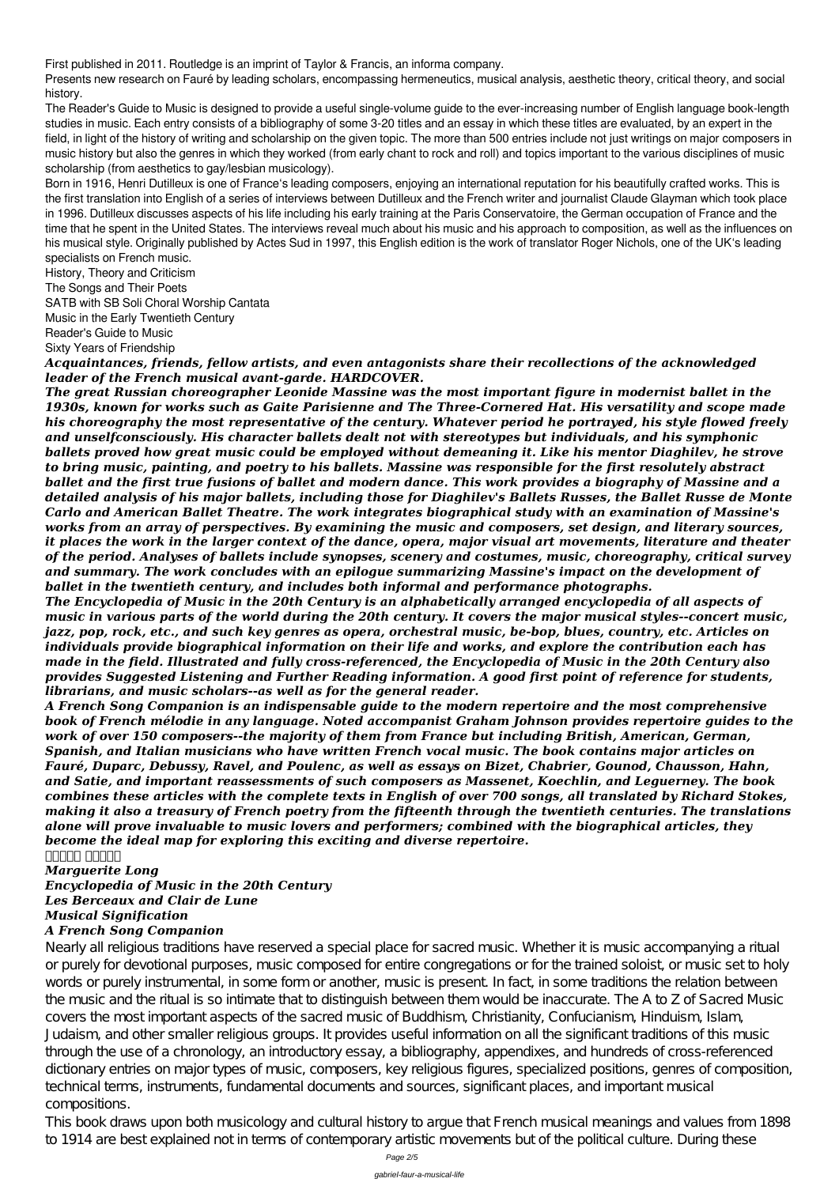First published in 2011. Routledge is an imprint of Taylor & Francis, an informa company.

Presents new research on Fauré by leading scholars, encompassing hermeneutics, musical analysis, aesthetic theory, critical theory, and social history.

The Reader's Guide to Music is designed to provide a useful single-volume guide to the ever-increasing number of English language book-length studies in music. Each entry consists of a bibliography of some 3-20 titles and an essay in which these titles are evaluated, by an expert in the field, in light of the history of writing and scholarship on the given topic. The more than 500 entries include not just writings on major composers in music history but also the genres in which they worked (from early chant to rock and roll) and topics important to the various disciplines of music scholarship (from aesthetics to gay/lesbian musicology).

Born in 1916, Henri Dutilleux is one of France's leading composers, enjoying an international reputation for his beautifully crafted works. This is the first translation into English of a series of interviews between Dutilleux and the French writer and journalist Claude Glayman which took place in 1996. Dutilleux discusses aspects of his life including his early training at the Paris Conservatoire, the German occupation of France and the time that he spent in the United States. The interviews reveal much about his music and his approach to composition, as well as the influences on his musical style. Originally published by Actes Sud in 1997, this English edition is the work of translator Roger Nichols, one of the UK's leading specialists on French music.

History, Theory and Criticism

The Songs and Their Poets

SATB with SB Soli Choral Worship Cantata

Music in the Early Twentieth Century

Reader's Guide to Music

Sixty Years of Friendship

*Acquaintances, friends, fellow artists, and even antagonists share their recollections of the acknowledged leader of the French musical avant-garde. HARDCOVER.*

*The great Russian choreographer Leonide Massine was the most important figure in modernist ballet in the 1930s, known for works such as Gaite Parisienne and The Three-Cornered Hat. His versatility and scope made his choreography the most representative of the century. Whatever period he portrayed, his style flowed freely and unselfconsciously. His character ballets dealt not with stereotypes but individuals, and his symphonic ballets proved how great music could be employed without demeaning it. Like his mentor Diaghilev, he strove to bring music, painting, and poetry to his ballets. Massine was responsible for the first resolutely abstract ballet and the first true fusions of ballet and modern dance. This work provides a biography of Massine and a detailed analysis of his major ballets, including those for Diaghilev's Ballets Russes, the Ballet Russe de Monte Carlo and American Ballet Theatre. The work integrates biographical study with an examination of Massine's works from an array of perspectives. By examining the music and composers, set design, and literary sources, it places the work in the larger context of the dance, opera, major visual art movements, literature and theater of the period. Analyses of ballets include synopses, scenery and costumes, music, choreography, critical survey and summary. The work concludes with an epilogue summarizing Massine's impact on the development of ballet in the twentieth century, and includes both informal and performance photographs.*

*The Encyclopedia of Music in the 20th Century is an alphabetically arranged encyclopedia of all aspects of music in various parts of the world during the 20th century. It covers the major musical styles--concert music, jazz, pop, rock, etc., and such key genres as opera, orchestral music, be-bop, blues, country, etc. Articles on individuals provide biographical information on their life and works, and explore the contribution each has made in the field. Illustrated and fully cross-referenced, the Encyclopedia of Music in the 20th Century also provides Suggested Listening and Further Reading information. A good first point of reference for students, librarians, and music scholars--as well as for the general reader.*

*A French Song Companion is an indispensable guide to the modern repertoire and the most comprehensive book of French mélodie in any language. Noted accompanist Graham Johnson provides repertoire guides to the work of over 150 composers--the majority of them from France but including British, American, German, Spanish, and Italian musicians who have written French vocal music. The book contains major articles on Fauré, Duparc, Debussy, Ravel, and Poulenc, as well as essays on Bizet, Chabrier, Gounod, Chausson, Hahn, and Satie, and important reassessments of such composers as Massenet, Koechlin, and Leguerney. The book combines these articles with the complete texts in English of over 700 songs, all translated by Richard Stokes, making it also a treasury of French poetry from the fifteenth through the twentieth centuries. The translations alone will prove invaluable to music lovers and performers; combined with the biographical articles, they become the ideal map for exploring this exciting and diverse repertoire.*

*ولحلا ناوضر*

*Marguerite Long*

*Encyclopedia of Music in the 20th Century*

## *Les Berceaux and Clair de Lune Musical Signification A French Song Companion*

Nearly all religious traditions have reserved a special place for sacred music. Whether it is music accompanying a ritual or purely for devotional purposes, music composed for entire congregations or for the trained soloist, or music set to holy words or purely instrumental, in some form or another, music is present. In fact, in some traditions the relation between the music and the ritual is so intimate that to distinguish between them would be inaccurate. The A to Z of Sacred Music covers the most important aspects of the sacred music of Buddhism, Christianity, Confucianism, Hinduism, Islam, Judaism, and other smaller religious groups. It provides useful information on all the significant traditions of this music through the use of a chronology, an introductory essay, a bibliography, appendixes, and hundreds of cross-referenced dictionary entries on major types of music, composers, key religious figures, specialized positions, genres of composition, technical terms, instruments, fundamental documents and sources, significant places, and important musical compositions.

This book draws upon both musicology and cultural history to argue that French musical meanings and values from 1898 to 1914 are best explained not in terms of contemporary artistic movements but of the political culture. During these

Page 2/5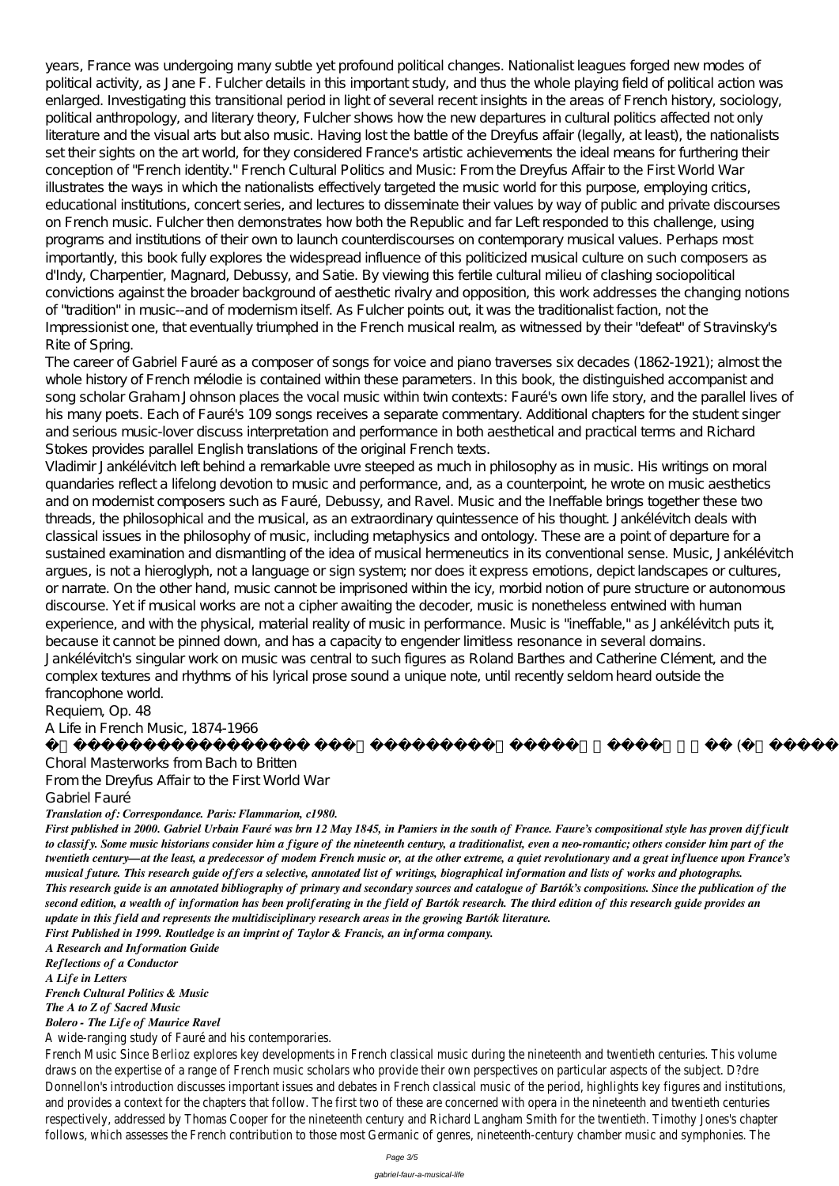years, France was undergoing many subtle yet profound political changes. Nationalist leagues forged new modes of political activity, as Jane F. Fulcher details in this important study, and thus the whole playing field of political action was enlarged. Investigating this transitional period in light of several recent insights in the areas of French history, sociology, political anthropology, and literary theory, Fulcher shows how the new departures in cultural politics affected not only literature and the visual arts but also music. Having lost the battle of the Dreyfus affair (legally, at least), the nationalists set their sights on the art world, for they considered France's artistic achievements the ideal means for furthering their conception of "French identity." French Cultural Politics and Music: From the Dreyfus Affair to the First World War illustrates the ways in which the nationalists effectively targeted the music world for this purpose, employing critics, educational institutions, concert series, and lectures to disseminate their values by way of public and private discourses on French music. Fulcher then demonstrates how both the Republic and far Left responded to this challenge, using programs and institutions of their own to launch counterdiscourses on contemporary musical values. Perhaps most importantly, this book fully explores the widespread influence of this politicized musical culture on such composers as d'Indy, Charpentier, Magnard, Debussy, and Satie. By viewing this fertile cultural milieu of clashing sociopolitical convictions against the broader background of aesthetic rivalry and opposition, this work addresses the changing notions of "tradition" in music--and of modernism itself. As Fulcher points out, it was the traditionalist faction, not the Impressionist one, that eventually triumphed in the French musical realm, as witnessed by their "defeat" of Stravinsky's Rite of Spring.

The career of Gabriel Fauré as a composer of songs for voice and piano traverses six decades (1862-1921); almost the whole history of French mélodie is contained within these parameters. In this book, the distinguished accompanist and song scholar Graham Johnson places the vocal music within twin contexts: Fauré's own life story, and the parallel lives of his many poets. Each of Fauré's 109 songs receives a separate commentary. Additional chapters for the student singer and serious music-lover discuss interpretation and performance in both aesthetical and practical terms and Richard Stokes provides parallel English translations of the original French texts.

Vladimir Jankélévitch left behind a remarkable uvre steeped as much in philosophy as in music. His writings on moral quandaries reflect a lifelong devotion to music and performance, and, as a counterpoint, he wrote on music aesthetics and on modernist composers such as Fauré, Debussy, and Ravel. Music and the Ineffable brings together these two threads, the philosophical and the musical, as an extraordinary quintessence of his thought. Jankélévitch deals with classical issues in the philosophy of music, including metaphysics and ontology. These are a point of departure for a sustained examination and dismantling of the idea of musical hermeneutics in its conventional sense. Music, Jankélévitch argues, is not a hieroglyph, not a language or sign system; nor does it express emotions, depict landscapes or cultures, or narrate. On the other hand, music cannot be imprisoned within the icy, morbid notion of pure structure or autonomous discourse. Yet if musical works are not a cipher awaiting the decoder, music is nonetheless entwined with human experience, and with the physical, material reality of music in performance. Music is "ineffable," as Jankélévitch puts it, because it cannot be pinned down, and has a capacity to engender limitless resonance in several domains. Jankélévitch's singular work on music was central to such figures as Roland Barthes and Catherine Clément, and the complex textures and rhythms of his lyrical prose sound a unique note, until recently seldom heard outside the francophone world.

Requiem, Op. 48

A Life in French Music, 1874-1966

Choral Masterworks from Bach to Britten From the Dreyfus Affair to the First World War Gabriel Fauré

## *Translation of: Correspondance. Paris: Flammarion, c1980.*

*First published in 2000. Gabriel Urbain Fauré was brn 12 May 1845, in Pamiers in the south of France. Faure's compositional style has proven difficult to classify. Some music historians consider him a figure of the nineteenth century, a traditionalist, even a neo-romantic; others consider him part of the twentieth century—at the least, a predecessor of modem French music or, at the other extreme, a quiet revolutionary and a great influence upon France's musical future. This research guide offers a selective, annotated list of writings, biographical information and lists of works and photographs. This research guide is an annotated bibliography of primary and secondary sources and catalogue of Bartók's compositions. Since the publication of the*

 $\qquad \qquad \text{(} \qquad \qquad \text{)}$ 

*second edition, a wealth of information has been proliferating in the field of Bartók research. The third edition of this research guide provides an update in this field and represents the multidisciplinary research areas in the growing Bartók literature. First Published in 1999. Routledge is an imprint of Taylor & Francis, an informa company.*

*A Research and Information Guide Reflections of a Conductor A Life in Letters French Cultural Politics & Music The A to Z of Sacred Music Bolero - The Life of Maurice Ravel*

A wide-ranging study of Fauré and his contemporaries.

French Music Since Berlioz explores key developments in French classical music during the nineteenth and twentieth centuries. This volume draws on the expertise of a range of French music scholars who provide their own perspectives on particular aspects of the subject. D?dre Donnellon's introduction discusses important issues and debates in French classical music of the period, highlights key figures and institutions, and provides a context for the chapters that follow. The first two of these are concerned with opera in the nineteenth and twentieth centurie respectively, addressed by Thomas Cooper for the nineteenth century and Richard Langham Smith for the twentieth. Timothy Jones's chapter follows, which assesses the French contribution to those most Germanic of genres, nineteenth-century chamber music and symphonies. The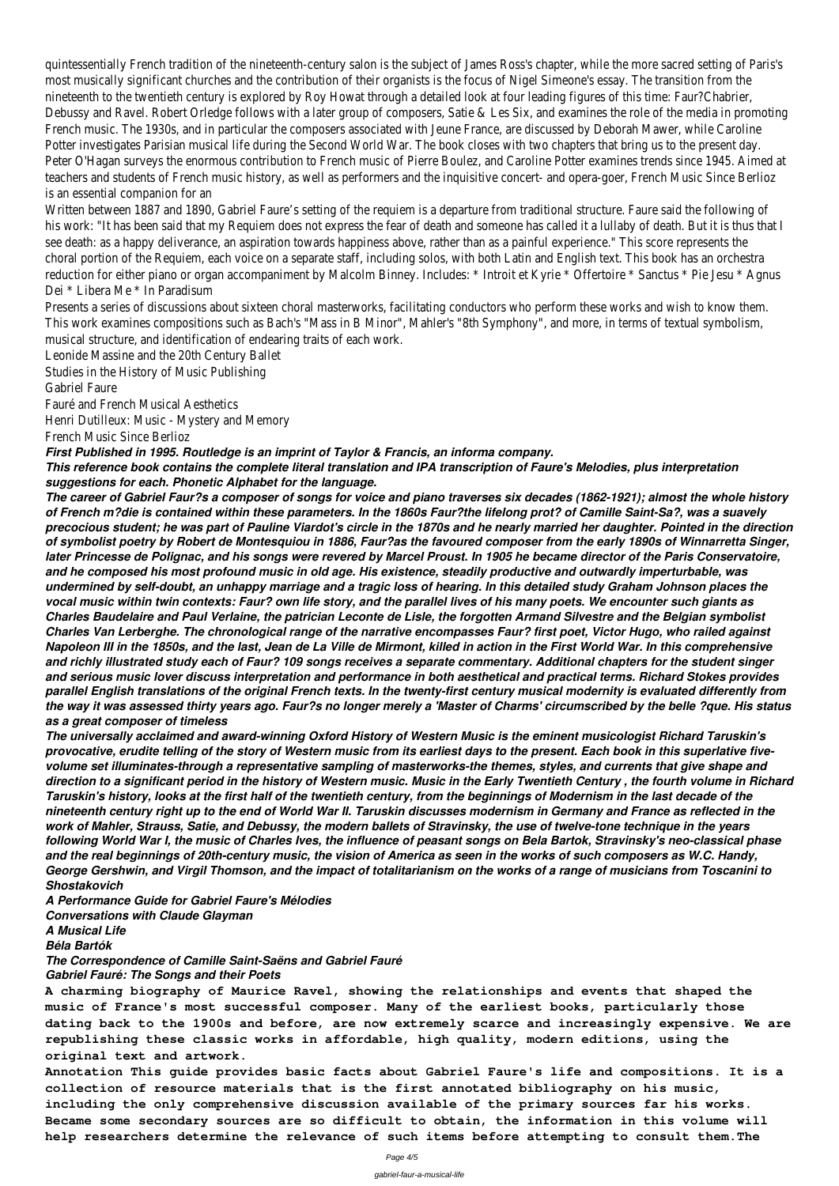quintessentially French tradition of the nineteenth-century salon is the subject of James Ross's chapter, while the more sacred setting of Paris's most musically significant churches and the contribution of their organists is the focus of Nigel Simeone's essay. The transition from the nineteenth to the twentieth century is explored by Roy Howat through a detailed look at four leading figures of this time: Faur?Chabrier, Debussy and Ravel. Robert Orledge follows with a later group of composers, Satie & Les Six, and examines the role of the media in promoting French music. The 1930s, and in particular the composers associated with Jeune France, are discussed by Deborah Mawer, while Caroline Potter investigates Parisian musical life during the Second World War. The book closes with two chapters that bring us to the present day. Peter O'Hagan surveys the enormous contribution to French music of Pierre Boulez, and Caroline Potter examines trends since 1945. Aimed at teachers and students of French music history, as well as performers and the inquisitive concert- and opera-goer, French Music Since Berlioz is an essential companion for an

Written between 1887 and 1890, Gabriel Faure's setting of the requiem is a departure from traditional structure. Faure said the following of his work: "It has been said that my Requiem does not express the fear of death and someone has called it a lullaby of death. But it is thus that see death: as a happy deliverance, an aspiration towards happiness above, rather than as a painful experience." This score represents the choral portion of the Requiem, each voice on a separate staff, including solos, with both Latin and English text. This book has an orchestra reduction for either piano or organ accompaniment by Malcolm Binney. Includes: \* Introit et Kyrie \* Offertoire \* Sanctus \* Pie Jesu \* Agnus Dei \* Libera Me \* In Paradisum

Presents a series of discussions about sixteen choral masterworks, facilitating conductors who perform these works and wish to know them. This work examines compositions such as Bach's "Mass in B Minor", Mahler's "8th Symphony", and more, in terms of textual symbolism, musical structure, and identification of endearing traits of each work.

Leonide Massine and the 20th Century Ballet

Studies in the History of Music Publishing

Gabriel Faure

Fauré and French Musical Aesthetics

Henri Dutilleux: Music - Mystery and Memory

French Music Since Berlioz

*First Published in 1995. Routledge is an imprint of Taylor & Francis, an informa company.*

*This reference book contains the complete literal translation and IPA transcription of Faure's Melodies, plus interpretation suggestions for each. Phonetic Alphabet for the language.*

*The career of Gabriel Faur?s a composer of songs for voice and piano traverses six decades (1862-1921); almost the whole history of French m?die is contained within these parameters. In the 1860s Faur?the lifelong prot? of Camille Saint-Sa?, was a suavely precocious student; he was part of Pauline Viardot's circle in the 1870s and he nearly married her daughter. Pointed in the direction of symbolist poetry by Robert de Montesquiou in 1886, Faur?as the favoured composer from the early 1890s of Winnarretta Singer, later Princesse de Polignac, and his songs were revered by Marcel Proust. In 1905 he became director of the Paris Conservatoire, and he composed his most profound music in old age. His existence, steadily productive and outwardly imperturbable, was undermined by self-doubt, an unhappy marriage and a tragic loss of hearing. In this detailed study Graham Johnson places the vocal music within twin contexts: Faur? own life story, and the parallel lives of his many poets. We encounter such giants as Charles Baudelaire and Paul Verlaine, the patrician Leconte de Lisle, the forgotten Armand Silvestre and the Belgian symbolist Charles Van Lerberghe. The chronological range of the narrative encompasses Faur? first poet, Victor Hugo, who railed against Napoleon III in the 1850s, and the last, Jean de La Ville de Mirmont, killed in action in the First World War. In this comprehensive and richly illustrated study each of Faur? 109 songs receives a separate commentary. Additional chapters for the student singer and serious music lover discuss interpretation and performance in both aesthetical and practical terms. Richard Stokes provides parallel English translations of the original French texts. In the twenty-first century musical modernity is evaluated differently from the way it was assessed thirty years ago. Faur?s no longer merely a 'Master of Charms' circumscribed by the belle ?que. His status as a great composer of timeless*

*The universally acclaimed and award-winning Oxford History of Western Music is the eminent musicologist Richard Taruskin's provocative, erudite telling of the story of Western music from its earliest days to the present. Each book in this superlative fivevolume set illuminates-through a representative sampling of masterworks-the themes, styles, and currents that give shape and direction to a significant period in the history of Western music. Music in the Early Twentieth Century , the fourth volume in Richard Taruskin's history, looks at the first half of the twentieth century, from the beginnings of Modernism in the last decade of the nineteenth century right up to the end of World War II. Taruskin discusses modernism in Germany and France as reflected in the work of Mahler, Strauss, Satie, and Debussy, the modern ballets of Stravinsky, the use of twelve-tone technique in the years following World War I, the music of Charles Ives, the influence of peasant songs on Bela Bartok, Stravinsky's neo-classical phase and the real beginnings of 20th-century music, the vision of America as seen in the works of such composers as W.C. Handy, George Gershwin, and Virgil Thomson, and the impact of totalitarianism on the works of a range of musicians from Toscanini to Shostakovich A Performance Guide for Gabriel Faure's Mélodies Conversations with Claude Glayman A Musical Life Béla Bartók The Correspondence of Camille Saint-Saëns and Gabriel Fauré Gabriel Fauré: The Songs and their Poets*

**A charming biography of Maurice Ravel, showing the relationships and events that shaped the music of France's most successful composer. Many of the earliest books, particularly those dating back to the 1900s and before, are now extremely scarce and increasingly expensive. We are republishing these classic works in affordable, high quality, modern editions, using the original text and artwork.**

**Annotation This guide provides basic facts about Gabriel Faure's life and compositions. It is a collection of resource materials that is the first annotated bibliography on his music, including the only comprehensive discussion available of the primary sources far his works. Became some secondary sources are so difficult to obtain, the information in this volume will help researchers determine the relevance of such items before attempting to consult them.The**